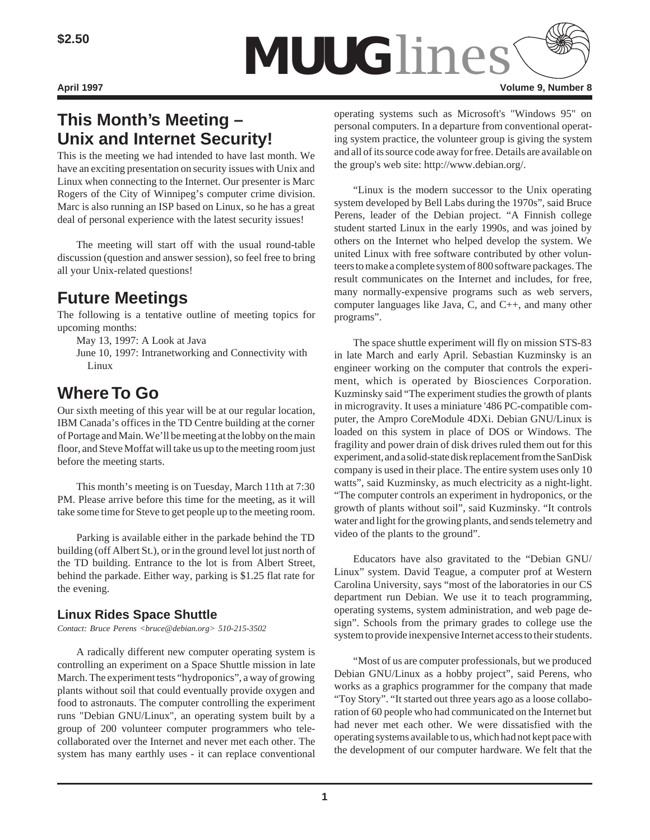

# **This Month's Meeting – Unix and Internet Security!**

This is the meeting we had intended to have last month. We have an exciting presentation on security issues with Unix and Linux when connecting to the Internet. Our presenter is Marc Rogers of the City of Winnipeg's computer crime division. Marc is also running an ISP based on Linux, so he has a great deal of personal experience with the latest security issues!

The meeting will start off with the usual round-table discussion (question and answer session), so feel free to bring all your Unix-related questions!

# **Future Meetings**

The following is a tentative outline of meeting topics for upcoming months:

May 13, 1997: A Look at Java

June 10, 1997: Intranetworking and Connectivity with Linux

# **Where To Go**

Our sixth meeting of this year will be at our regular location, IBM Canada's offices in the TD Centre building at the corner of Portage and Main. We'll be meeting at the lobby on the main floor, and Steve Moffat will take us up to the meeting room just before the meeting starts.

This month's meeting is on Tuesday, March 11th at 7:30 PM. Please arrive before this time for the meeting, as it will take some time for Steve to get people up to the meeting room.

Parking is available either in the parkade behind the TD building (off Albert St.), or in the ground level lot just north of the TD building. Entrance to the lot is from Albert Street, behind the parkade. Either way, parking is \$1.25 flat rate for the evening.

## **Linux Rides Space Shuttle**

*Contact: Bruce Perens <bruce@debian.org> 510-215-3502*

A radically different new computer operating system is controlling an experiment on a Space Shuttle mission in late March. The experiment tests "hydroponics", a way of growing plants without soil that could eventually provide oxygen and food to astronauts. The computer controlling the experiment runs "Debian GNU/Linux", an operating system built by a group of 200 volunteer computer programmers who telecollaborated over the Internet and never met each other. The system has many earthly uses - it can replace conventional

operating systems such as Microsoft's "Windows 95" on personal computers. In a departure from conventional operating system practice, the volunteer group is giving the system and all of its source code away for free. Details are available on the group's web site: http://www.debian.org/.

"Linux is the modern successor to the Unix operating system developed by Bell Labs during the 1970s", said Bruce Perens, leader of the Debian project. "A Finnish college student started Linux in the early 1990s, and was joined by others on the Internet who helped develop the system. We united Linux with free software contributed by other volunteers to make a complete system of 800 software packages. The result communicates on the Internet and includes, for free, many normally-expensive programs such as web servers, computer languages like Java, C, and C++, and many other programs".

The space shuttle experiment will fly on mission STS-83 in late March and early April. Sebastian Kuzminsky is an engineer working on the computer that controls the experiment, which is operated by Biosciences Corporation. Kuzminsky said "The experiment studies the growth of plants in microgravity. It uses a miniature '486 PC-compatible computer, the Ampro CoreModule 4DXi. Debian GNU/Linux is loaded on this system in place of DOS or Windows. The fragility and power drain of disk drives ruled them out for this experiment, and a solid-state disk replacement from the SanDisk company is used in their place. The entire system uses only 10 watts", said Kuzminsky, as much electricity as a night-light. "The computer controls an experiment in hydroponics, or the growth of plants without soil", said Kuzminsky. "It controls water and light for the growing plants, and sends telemetry and video of the plants to the ground".

Educators have also gravitated to the "Debian GNU/ Linux" system. David Teague, a computer prof at Western Carolina University, says "most of the laboratories in our CS department run Debian. We use it to teach programming, operating systems, system administration, and web page design". Schools from the primary grades to college use the system to provide inexpensive Internet access to their students.

"Most of us are computer professionals, but we produced Debian GNU/Linux as a hobby project", said Perens, who works as a graphics programmer for the company that made "Toy Story". "It started out three years ago as a loose collaboration of 60 people who had communicated on the Internet but had never met each other. We were dissatisfied with the operating systems available to us, which had not kept pace with the development of our computer hardware. We felt that the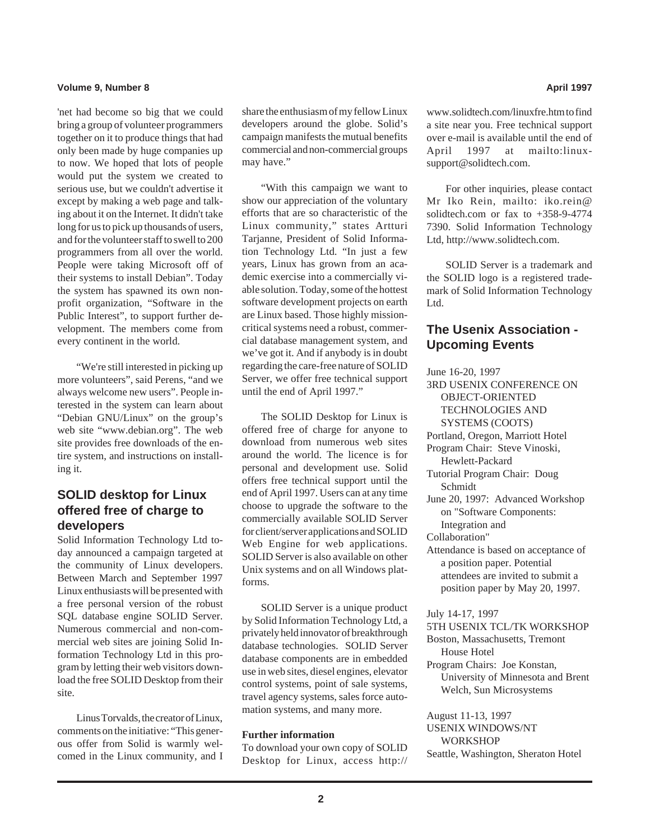### **Volume 9, Number 8 April 1997 April 1997**

'net had become so big that we could bring a group of volunteer programmers together on it to produce things that had only been made by huge companies up to now. We hoped that lots of people would put the system we created to serious use, but we couldn't advertise it except by making a web page and talking about it on the Internet. It didn't take long for us to pick up thousands of users, and for the volunteer staff to swell to 200 programmers from all over the world. People were taking Microsoft off of their systems to install Debian". Today the system has spawned its own nonprofit organization, "Software in the Public Interest", to support further development. The members come from every continent in the world.

"We're still interested in picking up more volunteers", said Perens, "and we always welcome new users". People interested in the system can learn about "Debian GNU/Linux" on the group's web site "www.debian.org". The web site provides free downloads of the entire system, and instructions on installing it.

## **SOLID desktop for Linux offered free of charge to developers**

Solid Information Technology Ltd today announced a campaign targeted at the community of Linux developers. Between March and September 1997 Linux enthusiasts will be presented with a free personal version of the robust SQL database engine SOLID Server. Numerous commercial and non-commercial web sites are joining Solid Information Technology Ltd in this program by letting their web visitors download the free SOLID Desktop from their site.

Linus Torvalds, the creator of Linux, comments on the initiative: "This generous offer from Solid is warmly welcomed in the Linux community, and I share the enthusiasm of my fellow Linux developers around the globe. Solid's campaign manifests the mutual benefits commercial and non-commercial groups may have."

"With this campaign we want to show our appreciation of the voluntary efforts that are so characteristic of the Linux community," states Artturi Tarjanne, President of Solid Information Technology Ltd. "In just a few years, Linux has grown from an academic exercise into a commercially viable solution. Today, some of the hottest software development projects on earth are Linux based. Those highly missioncritical systems need a robust, commercial database management system, and we've got it. And if anybody is in doubt regarding the care-free nature of SOLID Server, we offer free technical support until the end of April 1997."

The SOLID Desktop for Linux is offered free of charge for anyone to download from numerous web sites around the world. The licence is for personal and development use. Solid offers free technical support until the end of April 1997. Users can at any time choose to upgrade the software to the commercially available SOLID Server for client/server applications and SOLID Web Engine for web applications. SOLID Server is also available on other Unix systems and on all Windows platforms.

SOLID Server is a unique product by Solid Information Technology Ltd, a privately held innovator of breakthrough database technologies. SOLID Server database components are in embedded use in web sites, diesel engines, elevator control systems, point of sale systems, travel agency systems, sales force automation systems, and many more.

### **Further information**

To download your own copy of SOLID Desktop for Linux, access http://

www.solidtech.com/linuxfre.htm to find a site near you. Free technical support over e-mail is available until the end of April 1997 at mailto:linuxsupport@solidtech.com.

For other inquiries, please contact Mr Iko Rein, mailto: iko.rein@ solidtech.com or fax to +358-9-4774 7390. Solid Information Technology Ltd, http://www.solidtech.com.

SOLID Server is a trademark and the SOLID logo is a registered trademark of Solid Information Technology Ltd.

## **The Usenix Association - Upcoming Events**

June 16-20, 1997 3RD USENIX CONFERENCE ON OBJECT-ORIENTED TECHNOLOGIES AND SYSTEMS (COOTS) Portland, Oregon, Marriott Hotel Program Chair: Steve Vinoski, Hewlett-Packard Tutorial Program Chair: Doug Schmidt June 20, 1997: Advanced Workshop on "Software Components: Integration and Collaboration" Attendance is based on acceptance of a position paper. Potential attendees are invited to submit a position paper by May 20, 1997. July 14-17, 1997 5TH USENIX TCL/TK WORKSHOP Boston, Massachusetts, Tremont House Hotel

Program Chairs: Joe Konstan, University of Minnesota and Brent Welch, Sun Microsystems

August 11-13, 1997 USENIX WINDOWS/NT WORKSHOP Seattle, Washington, Sheraton Hotel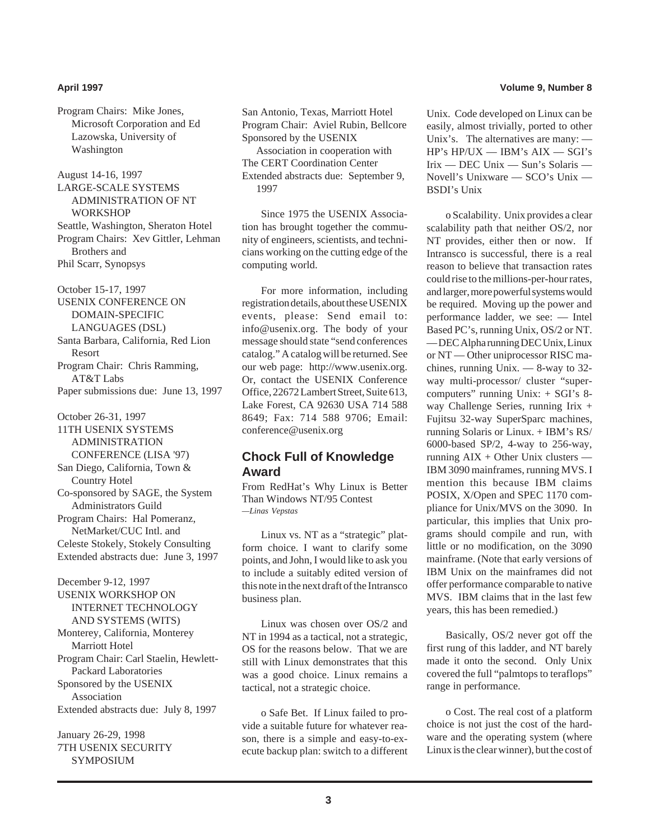Program Chairs: Mike Jones, Microsoft Corporation and Ed Lazowska, University of Washington

August 14-16, 1997 LARGE-SCALE SYSTEMS ADMINISTRATION OF NT **WORKSHOP** Seattle, Washington, Sheraton Hotel Program Chairs: Xev Gittler, Lehman Brothers and Phil Scarr, Synopsys

October 15-17, 1997 USENIX CONFERENCE ON DOMAIN-SPECIFIC LANGUAGES (DSL) Santa Barbara, California, Red Lion Resort Program Chair: Chris Ramming, AT&T Labs Paper submissions due: June 13, 1997

October 26-31, 1997 11TH USENIX SYSTEMS ADMINISTRATION CONFERENCE (LISA '97) San Diego, California, Town & Country Hotel Co-sponsored by SAGE, the System Administrators Guild Program Chairs: Hal Pomeranz, NetMarket/CUC Intl. and Celeste Stokely, Stokely Consulting Extended abstracts due: June 3, 1997

December 9-12, 1997 USENIX WORKSHOP ON INTERNET TECHNOLOGY AND SYSTEMS (WITS) Monterey, California, Monterey Marriott Hotel Program Chair: Carl Staelin, Hewlett-Packard Laboratories Sponsored by the USENIX Association Extended abstracts due: July 8, 1997

January 26-29, 1998 7TH USENIX SECURITY **SYMPOSIUM** 

San Antonio, Texas, Marriott Hotel Program Chair: Aviel Rubin, Bellcore Sponsored by the USENIX Association in cooperation with The CERT Coordination Center Extended abstracts due: September 9, 1997

Since 1975 the USENIX Association has brought together the community of engineers, scientists, and technicians working on the cutting edge of the computing world.

For more information, including registration details, about these USENIX events, please: Send email to: info@usenix.org. The body of your message should state "send conferences catalog." A catalog will be returned. See our web page: http://www.usenix.org. Or, contact the USENIX Conference Office, 22672 Lambert Street, Suite 613, Lake Forest, CA 92630 USA 714 588 8649; Fax: 714 588 9706; Email: conference@usenix.org

### **Chock Full of Knowledge Award**

From RedHat's Why Linux is Better Than Windows NT/95 Contest *—Linas Vepstas*

Linux vs. NT as a "strategic" platform choice. I want to clarify some points, and John, I would like to ask you to include a suitably edited version of this note in the next draft of the Intransco business plan.

Linux was chosen over OS/2 and NT in 1994 as a tactical, not a strategic, OS for the reasons below. That we are still with Linux demonstrates that this was a good choice. Linux remains a tactical, not a strategic choice.

o Safe Bet. If Linux failed to provide a suitable future for whatever reason, there is a simple and easy-to-execute backup plan: switch to a different

### **April 1997 Volume 9, Number 8**

Unix. Code developed on Linux can be easily, almost trivially, ported to other Unix's. The alternatives are many: — HP's HP/UX — IBM's AIX — SGI's Irix — DEC Unix — Sun's Solaris — Novell's Unixware — SCO's Unix — BSDI's Unix

o Scalability. Unix provides a clear scalability path that neither OS/2, nor NT provides, either then or now. If Intransco is successful, there is a real reason to believe that transaction rates could rise to the millions-per-hour rates, and larger, more powerful systems would be required. Moving up the power and performance ladder, we see: — Intel Based PC's, running Unix, OS/2 or NT. — DEC Alpha running DEC Unix, Linux or NT — Other uniprocessor RISC machines, running Unix. — 8-way to 32 way multi-processor/ cluster "supercomputers" running Unix: + SGI's 8 way Challenge Series, running Irix + Fujitsu 32-way SuperSparc machines, running Solaris or Linux. + IBM's RS/ 6000-based SP/2, 4-way to 256-way, running  $AIX + Other Unix clusters -$ IBM 3090 mainframes, running MVS. I mention this because IBM claims POSIX, X/Open and SPEC 1170 compliance for Unix/MVS on the 3090. In particular, this implies that Unix programs should compile and run, with little or no modification, on the 3090 mainframe. (Note that early versions of IBM Unix on the mainframes did not offer performance comparable to native MVS. IBM claims that in the last few years, this has been remedied.)

Basically, OS/2 never got off the first rung of this ladder, and NT barely made it onto the second. Only Unix covered the full "palmtops to teraflops" range in performance.

o Cost. The real cost of a platform choice is not just the cost of the hardware and the operating system (where Linux is the clear winner), but the cost of